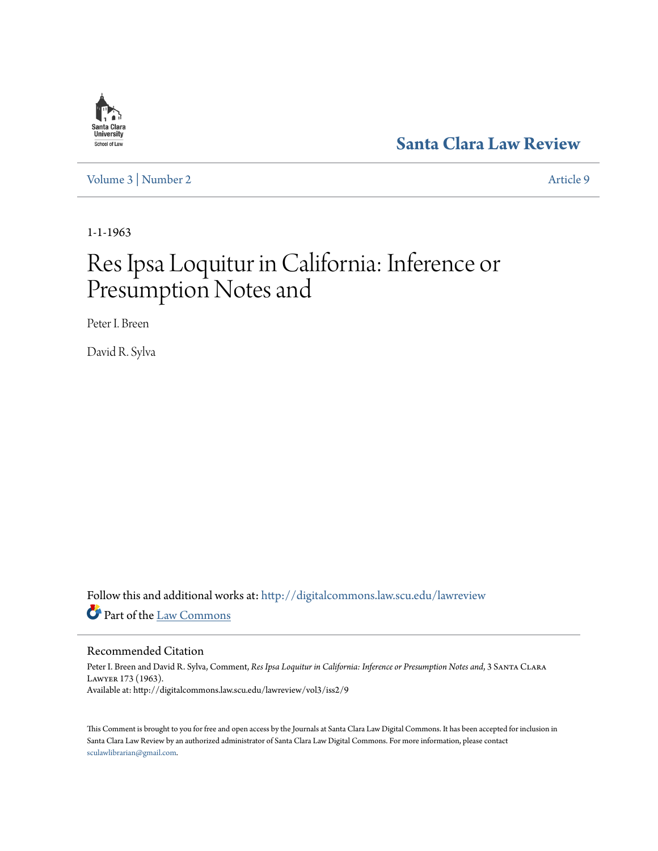## **[Santa Clara Law Review](http://digitalcommons.law.scu.edu/lawreview?utm_source=digitalcommons.law.scu.edu%2Flawreview%2Fvol3%2Fiss2%2F9&utm_medium=PDF&utm_campaign=PDFCoverPages)**

[Volume 3](http://digitalcommons.law.scu.edu/lawreview/vol3?utm_source=digitalcommons.law.scu.edu%2Flawreview%2Fvol3%2Fiss2%2F9&utm_medium=PDF&utm_campaign=PDFCoverPages) | [Number 2](http://digitalcommons.law.scu.edu/lawreview/vol3/iss2?utm_source=digitalcommons.law.scu.edu%2Flawreview%2Fvol3%2Fiss2%2F9&utm_medium=PDF&utm_campaign=PDFCoverPages) [Article 9](http://digitalcommons.law.scu.edu/lawreview/vol3/iss2/9?utm_source=digitalcommons.law.scu.edu%2Flawreview%2Fvol3%2Fiss2%2F9&utm_medium=PDF&utm_campaign=PDFCoverPages)

1-1-1963

# Res Ipsa Loquitur in California: Inference or Presumption Notes and

Peter I. Breen

David R. Sylva

Follow this and additional works at: [http://digitalcommons.law.scu.edu/lawreview](http://digitalcommons.law.scu.edu/lawreview?utm_source=digitalcommons.law.scu.edu%2Flawreview%2Fvol3%2Fiss2%2F9&utm_medium=PDF&utm_campaign=PDFCoverPages) Part of the [Law Commons](http://network.bepress.com/hgg/discipline/578?utm_source=digitalcommons.law.scu.edu%2Flawreview%2Fvol3%2Fiss2%2F9&utm_medium=PDF&utm_campaign=PDFCoverPages)

#### Recommended Citation

Peter I. Breen and David R. Sylva, Comment, *Res Ipsa Loquitur in California: Inference or Presumption Notes and*, 3 Santa Clara Lawyer 173 (1963). Available at: http://digitalcommons.law.scu.edu/lawreview/vol3/iss2/9

This Comment is brought to you for free and open access by the Journals at Santa Clara Law Digital Commons. It has been accepted for inclusion in Santa Clara Law Review by an authorized administrator of Santa Clara Law Digital Commons. For more information, please contact [sculawlibrarian@gmail.com](mailto:sculawlibrarian@gmail.com).

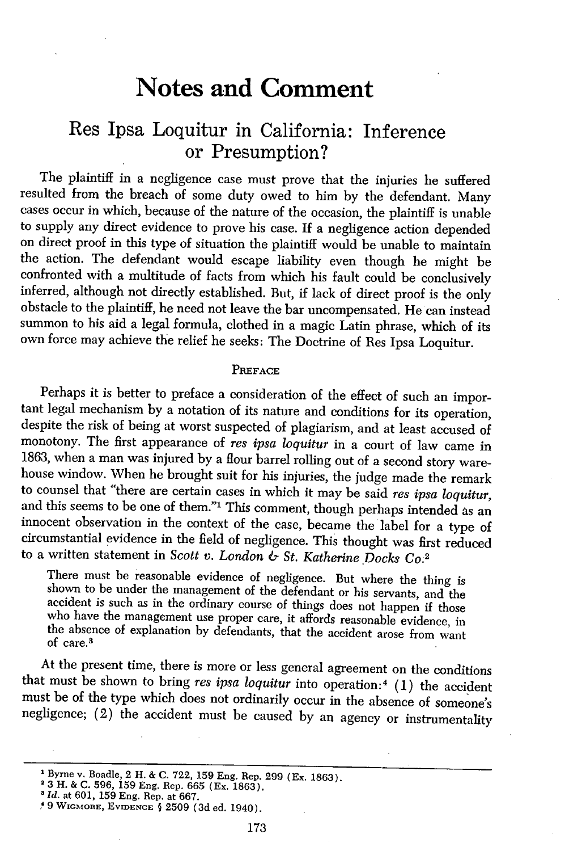## **Notes and Comment**

### Res Ipsa Loquitur in California: Inference or Presumption?

The plaintiff in a negligence case must prove that the injuries he suffered resulted from the breach of some duty owed to him by the defendant. Many cases occur in which, because of the nature of the occasion, the plaintiff is unable to supply any direct evidence to prove his case. If a negligence action depended on direct proof in this type of situation the plaintiff would be unable to maintain the action. The defendant would escape liability even though he might be confronted with a multitude of facts from which his fault could be conclusively inferred, although not directly established. But, if lack of direct proof is the only obstacle to the plaintiff, he need not leave the bar uncompensated. He can instead summon to his aid a legal formula, clothed in a magic Latin phrase, which of its own force may achieve the relief he seeks: The Doctrine of Res Ipsa Loquitur.

#### PREFACE

Perhaps it is better to preface a consideration of the effect of such an important legal mechanism by a notation of its nature and conditions for its operation, despite the risk of being at worst suspected of plagiarism, and at least accused of monotony. The first appearance of *res ipsa loquitur* in a court of law came in 1863, when a man was injured by a flour barrel rolling out of a second story warehouse window. When he brought suit for his injuries, the judge made the remark to counsel that "there are certain cases in which it may be said *res ipsa loquitur,* and this seems to be one of them."<sup>1</sup> This comment, though perhaps intended as an innocent observation in the context of the case, became the label for a type of circumstantial evidence in the field of negligence. This thought was first reduced to a written statement in *Scott v. London & St. Katherine Docks Co.2*

There must be reasonable evidence of negligence. But where the thing is shown to be under the management of the defendant or his servants, and the accident is such as in the ordinary course of things does not happen if those who have the management use proper care, it affords reasonable evidence, in who have the management use proper care, it affords reasonable evidence, in of care. the absence of explanation by defendants, that the accident arose from want

At the present time, there is more or less general agreement on the conditions that must be shown to bring *res ipsa loquitur* into operation:<sup>4</sup> (1) the accident must be of the type which does not ordinarily occur in the absence of someone's negligence; (2) the accident must be caused by an agency or instrumentality

<sup>&</sup>lt;sup>1</sup> Byrne v. Boadle, 2 H. & C. 722, 159 Eng. Rep. 299 (Ex. 1863).

**<sup>2</sup>**3 H. & C. 596, 159 Eng. Rep. 665 (Ex. 1863). *3 Id.* at 601, 159 Eng. Rep. at 667. , **9 WIGMORE, EVIDENCE §** 2509 (3d ed. 1940).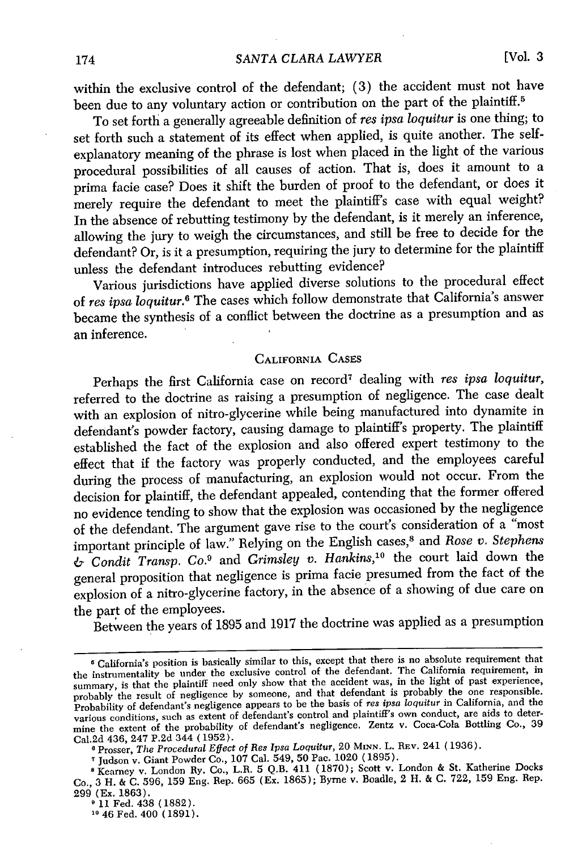within the exclusive control of the defendant; (3) the accident must not have been due to any voluntary action or contribution on the part of the plaintiff.<sup>5</sup>

To set forth a generally agreeable definition of *res ipsa loquitur* is one thing; to set forth such a statement of its effect when applied, is quite another. The selfexplanatory meaning of the phrase is lost when placed in the light of the various procedural possibilities of all causes of action. That is, does it amount to a prima facie case? Does it shift the burden of proof to the defendant, or does it merely require the defendant to meet the plaintiff's case with equal weight? In the absence of rebutting testimony by the defendant, is it merely an inference, allowing the jury to weigh the circumstances, and still be free to decide for the defendant? Or, is it a presumption, requiring the jury to determine for the plaintiff unless the defendant introduces rebutting evidence?

Various jurisdictions have applied diverse solutions to the procedural effect of *res ipsa loquitur.6* The cases which follow demonstrate that California's answer became the synthesis of a conflict between the doctrine as a presumption and as an inference.

#### CALIFORNIA CASES

Perhaps the first California case on record<sup>7</sup> dealing with *res ipsa loquitur*, referred to the doctrine as raising a presumption of negligence. The case dealt with an explosion of nitro-glycerine while being manufactured into dynamite in defendant's powder factory, causing damage to plaintiff's property. The plaintiff established the fact of the explosion and also offered expert testimony to the effect that if the factory was properly conducted, and the employees careful during the process of manufacturing, an explosion would not occur. From the decision for plaintiff, the defendant appealed, contending that the former offered no evidence tending to show that the explosion was occasioned by the negligence of the defendant. The argument gave rise to the court's consideration of a "most important principle of law." Relying on the English cases,<sup>8</sup> and *Rose v. Stephens* & *Condit Transp. Co.9* and *Grimsley* v. *Hankins,1 °* the court laid down the general proposition that negligence is prima facie presumed from the fact of the explosion of a nitro-glycerine factory, in the absence of a showing of due care on the part of the employees.

Between the years of 1895 and 1917 the doctrine was applied as a presumption

California's position is basically similar to this, except that there is no absolute requirement that the instrumentality be under the exclusive control of the defendant. The California requirement, in summary, is that the plaintiff need only show that the accident was, in the light of past experience, probably the result of negligence by someone, and that defendant is probably the one responsible. Probability of defendant's negligence appears to be the basis of *res ipsa loquitur* in California, and the various conditions, such as extent of defendant's control and plaintiff's own conduct, are aids to determine the extent of the probability of defendant's negligence. Zentz v. Coca-Cola Bottling Co., 39 Cal.2d 436, 247 P.2d 344 (1952).

**<sup>(</sup>** Prosser, *The Procedural Effect of Res Ipsa Loquitur,* 20 **MINN.** L. REv. 241 (1936).

<sup>&</sup>lt;sup>7</sup> Judson v. Giant Powder Co., 107 Cal. 549, 50 Pac. 1020 (1895).

**<sup>8</sup>** Kearney v. London Ry. Co., L.R. 5 Q.B. 411 (1870); Scott v. London & St. Katherine Docks Co., 3 H. & C. 596, 159 Eng. Rep. 665 (Ex. 1865); Byrne v. Boadle, 2 H. & C. 722, 159 Eng. Rep.

<sup>299 (</sup>Ex. 1863). **<sup>1</sup>**11 Fed. 438 (1882).

**<sup>10</sup>**46 Fed. 400 (1891).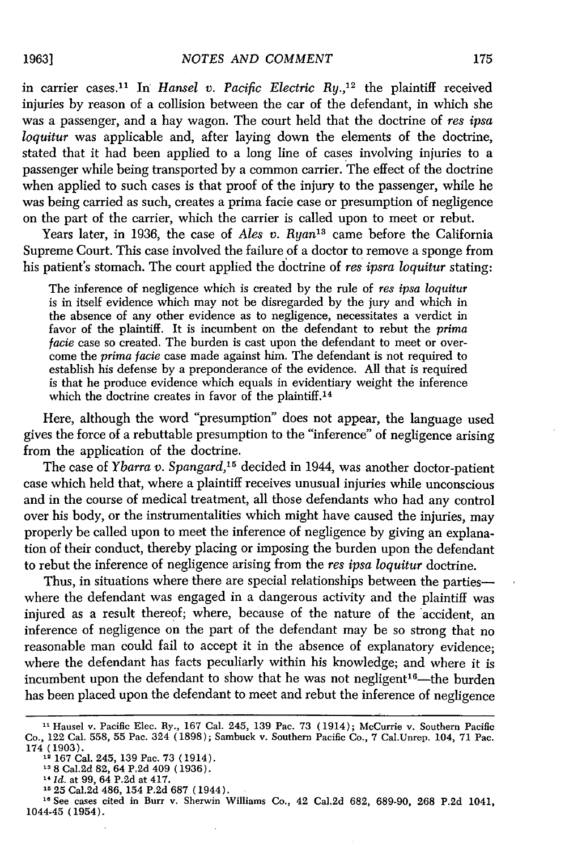in carrier cases.<sup>11</sup> In *Hansel v. Pacific Electric Ry.*,<sup>12</sup> the plaintiff received injuries by reason of a collision between the car of the defendant, in which she was a passenger, and a hay wagon. The court held that the doctrine of *res ipsa loquitur* was applicable and, after laying down the elements of the doctrine, stated that it had been applied to a long line of cases involving injuries to a passenger while being transported by a common carrier. The effect of the doctrine when applied to such cases is that proof of the injury to the passenger, while he was being carried as such, creates a prima facie case or presumption of negligence on the part of the carrier, which the carrier is called upon to meet or rebut.

Years later, in 1936, the case of *Ales v. Ryan*<sup>13</sup> came before the California Supreme Court. This case involved the failure of a doctor to remove a sponge from his patient's stomach. The court applied the doctrine of *res ipsra loquitur* stating:

The inference of negligence which is created by the rule of *res ipsa loquitur* is in itself evidence which may not be disregarded by the jury and which in the absence of any other evidence as to negligence, necessitates a verdict in favor of the plaintiff. It is incumbent on the defendant to rebut the *prima facie* case so created. The burden is cast upon the defendant to meet or overcome the *prima facie* case made against him. The defendant is not required to establish his defense by a preponderance of the evidence. All that is required is that he produce evidence which equals in evidentiary weight the inference which the doctrine creates in favor of the plaintiff.<sup>14</sup>

Here, although the word "presumption" does not appear, the language used gives the force of a rebuttable presumption to the "inference" of negligence arising from the application of the doctrine.

The case of *Ybarra v. Spangard*,<sup>15</sup> decided in 1944, was another doctor-patient case which held that, where a plaintiff receives unusual injuries while unconscious and in the course of medical treatment, all those defendants who had any control over his body, or the instrumentalities which might have caused the injuries, may properly be called upon to meet the inference of negligence by giving an explanation of their conduct, thereby placing or imposing the burden upon the defendant to rebut the inference of negligence arising from the *res ipsa loquitur* doctrine.

Thus, in situations where there are special relationships between the partieswhere the defendant was engaged in a dangerous activity and the plaintiff was injured as a result thereof; where, because of the nature of the accident, an inference of negligence on the part of the defendant may be so strong that no reasonable man could fail to accept it in the absence of explanatory evidence; where the defendant has facts peculiarly within his knowledge; and where it is incumbent upon the defendant to show that he was not negligent<sup>16</sup>—the burder has been placed upon the defendant to meet and rebut the inference of negligence

<sup>16</sup> See cases cited in Burr v. Sherwin Williams Co., 42 Cal.2d 682, 689-90, 268 P.2d 1041, 1044-45 (1954).

**<sup>11</sup>**Hausel v. Pacific Elec. Ry., 167 Cal. 245, 139 Pac. 73 (1914); McCurrie v. Southern Pacific Co., 122 Cal. 558, 55 Pac. 324 (1898); Sambuck v. Southern Pacific Co., 7 Cal.Unrep. 104, 71 Pac. 174 (1903).

**<sup>12</sup>**167 Cal. 245, 139 Pac. 73 (1914).

**<sup>13 8</sup>** Cal.2d 82, 64 P.2d 409 (1936). <sup>1</sup>*Id.* at 99, 64 P.2d at 417.

**<sup>1525</sup>** Cal.2d 486, 154 P.2d 687 (1944).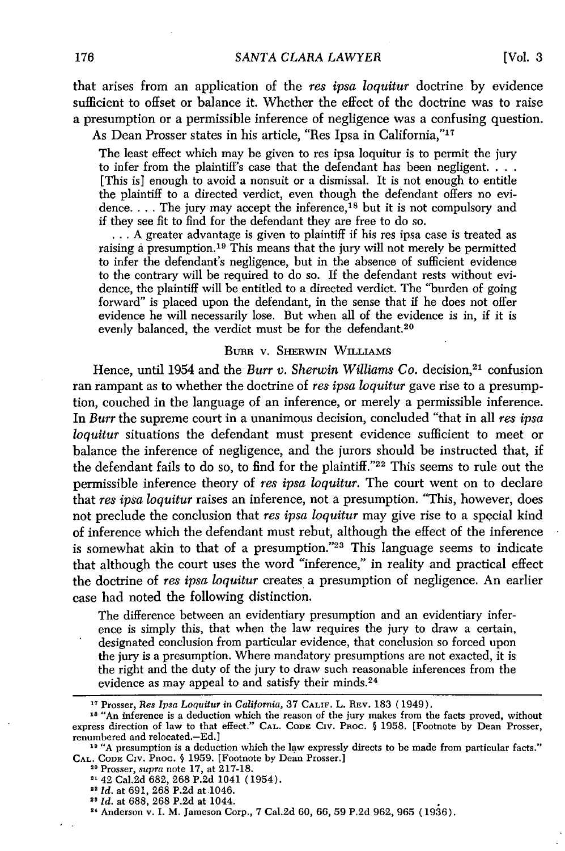that arises from an application of the *res ipsa loquitur* doctrine by evidence sufficient to offset or balance it. Whether the effect of the doctrine was to raise a presumption or a permissible inference of negligence was a confusing question.

As Dean Prosser states in his article, "Res Ipsa in California,"<sup>17</sup>

The least effect which may be given to res ipsa loquitur is to permit the jury to infer from the plaintiff's case that the defendant has been negligent. . . . [This is] enough to avoid a nonsuit or a dismissal. It is not enough to entitle the plaintiff to a directed verdict, even though the defendant offers no evidence. . . . The jury may accept the inference,<sup>18</sup> but it is not compulsory and if they see fit to find for the defendant they are free to do so.

**...** A greater advantage is given to plaintiff if his res ipsa case is treated as raising a presumption. 19 This means that the jury will not merely be permitted to infer the defendant's negligence, but in the absence of sufficient evidence to the contrary will be required to do so. If the defendant rests without evidence, the plaintiff will be entitled to a directed verdict. The "burden of going forward" is placed upon the defendant, in the sense that if he does not offer evidence he will necessarily lose. But when all of the evidence is in, if it is evenly balanced, the verdict must be for the defendant.<sup>20</sup>

#### BURR V. SHERWIN WILLIAMS

Hence, until 1954 and the *Burr v. Sherwin Williams Co.* decision,<sup>21</sup> confusion ran rampant as to whether the doctrine of *res ipsa loquitur* gave rise to a presumption, couched in the language of an inference, or merely a permissible inference. In *Burr* the supreme court in a unanimous decision, concluded "that in all *res ipsa loquitur* situations the defendant must present evidence sufficient to meet or balance the inference of negligence, and the jurors should be instructed that, if the defendant fails to do so, to find for the plaintiff."22 This seems to rule out the permissible inference theory of *res ipsa loquitur.* The court went on to declare that *res ipsa loquitur* raises an inference, not a presumption. "This, however, does not preclude the conclusion that *res ipsa loquitur* may give rise to a special kind of inference which the defendant must rebut, although the effect of the inference is somewhat akin to that of a presumption."23 This language seems to indicate that although the court uses the word "inference," in reality and practical effect the doctrine of *res ipsa loquitur* creates a presumption of negligence. An earlier case had noted the following distinction.

The difference between an evidentiary presumption and an evidentiary inference is simply this, that when the law requires the jury to draw a certain, designated conclusion from particular evidence, that conclusion so forced upon the jury is a presumption. Where mandatory presumptions are not exacted, it is the right and the duty of the jury to draw such reasonable inferences from the evidence as may appeal to and satisfy their minds.<sup>24</sup>

- **2142** Cal.2d 682, 268 P.2d 1041 (1954).
- <sup>22</sup> Id. at 691, 268 P.2d at 1046.
- <sup>23</sup> Id. at 688, 268 P.2d at 1044.
- **1"** Anderson v. I. M. Jameson Corp., 7 Cal.2d 60, 66, 59 P.2d 962, 965 (1936).

**<sup>17</sup>**Prosser, *Res Ipsa Loquitur in California,* 37 **CALIF.** L. REV. 183 (1949).

<sup>18&</sup>lt;sup>"</sup>An inference is a deduction which the reason of the jury makes from the facts proved, without express direction of law to that effect." **CAL. CODE** CIv. Pnoc. **§** 1958. [Footnote by Dean Prosser, renumbered and relocated.-Ed.]

<sup>&</sup>lt;sup>10</sup> "A presumption is a deduction which the law expressly directs to be made from particular facts." **CAL. CODE** Civ. Pnoc. **§** 1959. [Footnote by Dean Prosser.] 20 Prosser, supra note 17, at 217-18.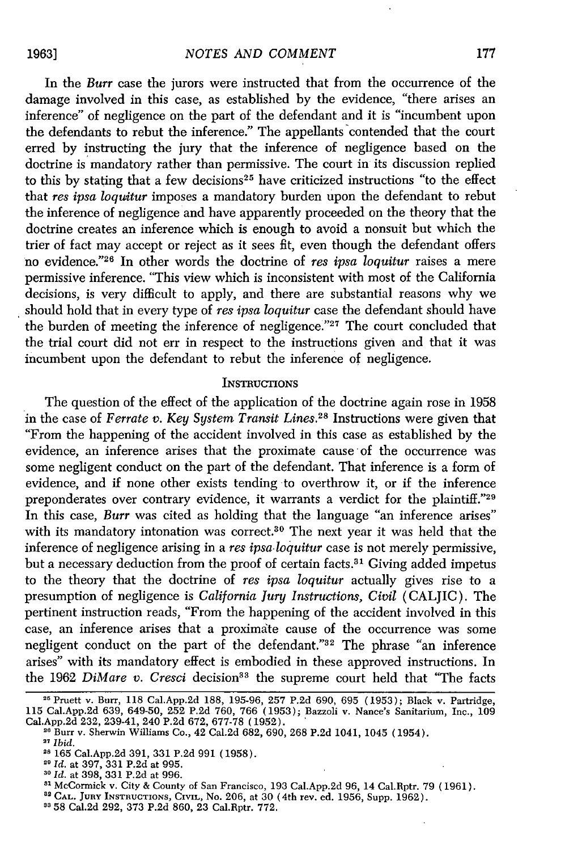In the *Burr* case the jurors were instructed that from the occurrence of the damage involved in this case, as established by the evidence, "there arises an inference" of negligence on the part of the defendant and it is "incumbent upon the defendants to rebut the inference." The appellants contended that the court erred by instructing the jury that the inference of negligence based on the doctrine is mandatory rather than permissive. The court in its discussion replied to this by stating that a few decisions<sup>25</sup> have criticized instructions "to the effect that *res ipsa loquitur* imposes a mandatory burden upon the defendant to rebut the inference of negligence and have apparently proceeded on the theory that the doctrine creates an inference which is enough to avoid a nonsuit but which the trier of fact may accept or reject as it sees fit, even though the defendant offers no evidence."<sup>26</sup> In other words the doctrine of *res ipsa loquitur* raises a mere permissive inference. "This view which is inconsistent with most of the California decisions, is very difficult to apply, and there are substantial reasons why we should hold that in every type of *res ipsa loquitur* case the defendant should have the burden of meeting the inference of negligence."<sup>27</sup> The court concluded that the trial court did not err in respect to the instructions given and that it was incumbent upon the defendant to rebut the inference of negligence.

#### **INSTRUCTIONS**

The question of the effect of the application of the doctrine again rose in 1958 in the case of *Ferrate v. Key System Transit Lines.28* Instructions were given that "From the happening of the accident involved in this case as established by the evidence, an inference arises that the proximate cause 'of the occurrence was some negligent conduct on the part of the defendant. That inference is a form of evidence, and if none other exists tending to overthrow it, or if the inference preponderates over contrary evidence, it warrants a verdict for the plaintiff."<sup>29</sup> In this case, *Burr* was cited as holding that the language "an inference arises" with its mandatory intonation was correct.<sup>30</sup> The next year it was held that the inference of negligence arising in a *res ipsa-loquitur* case is not merely permissive, but a necessary deduction from the proof of certain facts.<sup>31</sup> Giving added impetus to the theory that the doctrine of *res ipsa loquitur* actually gives rise to a presumption of negligence is *California Jury Instructions, Civil* (CALJIC). The pertinent instruction reads, "From the happening of the accident involved in this case, an inference arises that a proximate cause of the occurrence was some negligent conduct on the part of the defendant."32 The phrase "an inference arises" with its mandatory effect is embodied in these approved instructions. In the 1962 *DiMare v. Cresci* decision<sup>33</sup> the supreme court held that "The facts

**3** 58 Cal.2d 292, 373 P.2d 860, 23 Cal.Rptr. 772.

<sup>21</sup> Pruett v. Burr, 118 Cal.App.2d 188, 195-96, 257 P.2d 690, 695 (1953); Black v. Partridge, 115 Cal.App.2d 639, 649-50, 252 P.2d 760, 766 (1953); Bazzoli v. Nance's Sanitarium, Inc., 109 Cal.App.2d 232, 239-41, 240 P.2d 672, 677-78 (1952).

<sup>&</sup>lt;sup>26</sup> Burr v. Sherwin Williams Co., 42 Cal.2d 682, 690, 268 P.2d 1041, 1045 (1954). **<sup>27</sup>***Ibid.*

**<sup>28</sup>**165 Cal.App.2d 391, 331 P.2d 991 (1958).

<sup>29</sup>*Id.* at 397, 331 P.2d at 995.

**<sup>30</sup>***Id.* at 398, 331 P.2d at 996.

**<sup>11</sup>**McCormick v. City & County of San Francisco, 193 Cal.App.2d 96, 14 Cal.Rptr. 79 (1961).

<sup>&</sup>lt;sup>82</sup> CAL. JURY INSTRUCTIONS, CIVIL, No. 206, at 30 (4th rev. ed. 1956, Supp. 1962).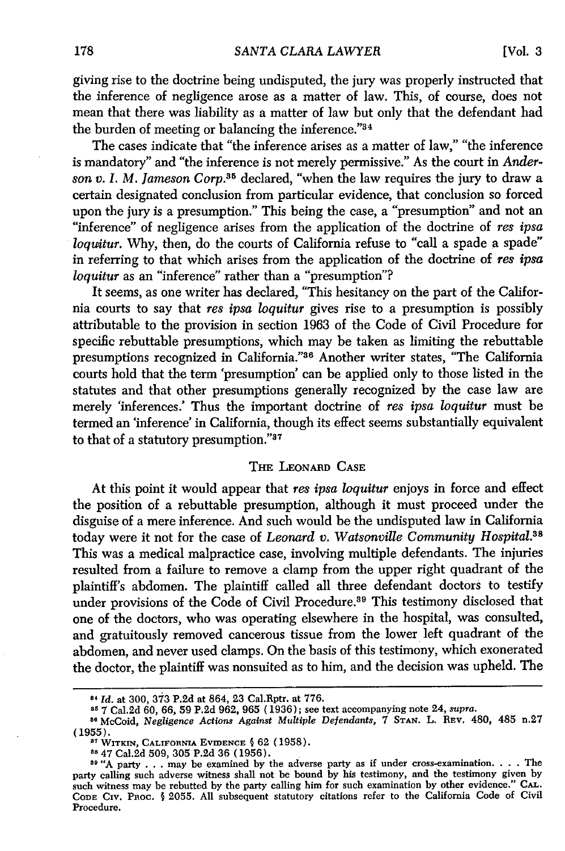giving rise to the doctrine being undisputed, the jury was properly instructed that the inference of negligence arose as a matter of law. This, of course, does not mean that there was liability as a matter of law but only that the defendant had the burden of meeting or balancing the inference."3<sup>4</sup>

The cases indicate that "the inference arises as a matter of law," "the inference is mandatory" and "the inference is not merely permissive." As the court in *Anderson v. I. M. Jameson Corp.35* declared, "when the law requires the jury to draw a certain designated conclusion from particular evidence, that conclusion so forced upon the jury is a presumption." This being the case, a "presumption" and not an "inference" of negligence arises from the application of the doctrine of *res ipsa loquitur.* Why, then, do the courts of California refuse to "call a spade a spade" in referring to that which arises from the application of the doctrine of *res ipsa loquitur* as an "inference" rather than a "presumption"?

It seems, as one writer has declared, "This hesitancy on the part of the California courts to say that *res ipsa loquitur* gives rise to a presumption is possibly attributable to the provision in section 1963 of the Code of Civil Procedure for specific rebuttable presumptions, which may be taken as limiting the rebuttable presumptions recognized in California."<sup>36</sup> Another writer states, "The California courts hold that the term 'presumption' can be applied only to those listed in the statutes and that other presumptions generally recognized by the case law are merely 'inferences.' Thus the important doctrine of *res ipsa loquitur* must be termed an 'inference' in California, though its effect seems substantially equivalent to that of a statutory presumption." $37$ 

#### **THE** LEONARD **CASE**

At this point it would appear that *res ipsa loquitur* enjoys in force and effect the position of a rebuttable presumption, although it must proceed under the disguise of a mere inference. And such would be the undisputed law in California today were it not for the case of *Leonard v. Watsonville Community Hospital.38* This was a medical malpractice case, involving multiple defendants. The injuries resulted from a failure to remove a clamp from the upper right quadrant of the plaintiff's abdomen. The plaintiff called all three defendant doctors to testify under provisions of the Code of Civil Procedure.<sup>39</sup> This testimony disclosed that one of the doctors, who was operating elsewhere in the hospital, was consulted, and gratuitously removed cancerous tissue from the lower left quadrant of the abdomen, and never used clamps. On the basis of this testimony, which exonerated the doctor, the plaintiff was nonsuited as to him, and the decision was upheld. The

**<sup>-,</sup>** *Id.* at 300, 373 P.2d at 864, 23 Cal.Rptr. at 776.

**<sup>85</sup>**7 Cal.2d 60, 66, 59 P.2d 962, 965 (1936); see text accompanying note 24, supra. **<sup>80</sup>**McCoid, *Negligence Actions Against Multiple Defendants,* 7 **STAN.** L. REV. 480, 485 n.27 (1955).

**<sup>37</sup>WITKIN, CALIFORNIA EVIDENCE §** 62 (1958).

**<sup>8</sup>** 47 Cal.2d 509, 305 P.2d 36 (1956).

**<sup>89</sup>** "A party . . .may be examined by the adverse party as if under cross-examination. . **.** .The party calling such adverse witness shall not be bound by his testimony, and the testimony given by such witness may be rebutted by the party calling him for such examination by other evidence." **CAsL. CODE** Civ. Pnoc. **§** 2055. All subsequent statutory citations refer to the California Code of Civil Procedure.